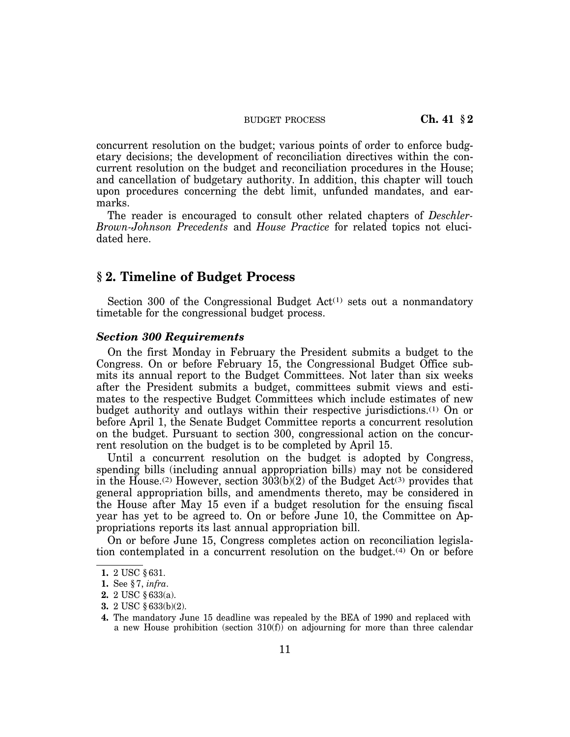BUDGET PROCESS **Ch. 41 § 2** 

concurrent resolution on the budget; various points of order to enforce budgetary decisions; the development of reconciliation directives within the concurrent resolution on the budget and reconciliation procedures in the House; and cancellation of budgetary authority. In addition, this chapter will touch upon procedures concerning the debt limit, unfunded mandates, and earmarks.

The reader is encouraged to consult other related chapters of *Deschler-Brown-Johnson Precedents* and *House Practice* for related topics not elucidated here.

## **§ 2. Timeline of Budget Process**

Section 300 of the Congressional Budget  $Act^{(1)}$  sets out a nonmandatory timetable for the congressional budget process.

## *Section 300 Requirements*

On the first Monday in February the President submits a budget to the Congress. On or before February 15, the Congressional Budget Office submits its annual report to the Budget Committees. Not later than six weeks after the President submits a budget, committees submit views and estimates to the respective Budget Committees which include estimates of new budget authority and outlays within their respective jurisdictions.(1) On or before April 1, the Senate Budget Committee reports a concurrent resolution on the budget. Pursuant to section 300, congressional action on the concurrent resolution on the budget is to be completed by April 15.

Until a concurrent resolution on the budget is adopted by Congress, spending bills (including annual appropriation bills) may not be considered in the House.<sup>(2)</sup> However, section  $303(b)(2)$  of the Budget Act<sup>(3)</sup> provides that general appropriation bills, and amendments thereto, may be considered in the House after May 15 even if a budget resolution for the ensuing fiscal year has yet to be agreed to. On or before June 10, the Committee on Appropriations reports its last annual appropriation bill.

On or before June 15, Congress completes action on reconciliation legislation contemplated in a concurrent resolution on the budget.(4) On or before

**3.** 2 USC § 633(b)(2).

**<sup>1.</sup>** 2 USC § 631.

**<sup>1.</sup>** See § 7, *infra*.

**<sup>2.</sup>** 2 USC § 633(a).

**<sup>4.</sup>** The mandatory June 15 deadline was repealed by the BEA of 1990 and replaced with a new House prohibition (section 310(f)) on adjourning for more than three calendar